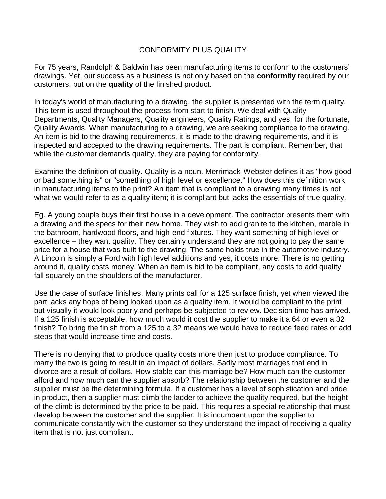# CONFORMITY PLUS QUALITY

For 75 years, Randolph & Baldwin has been manufacturing items to conform to the customers' drawings. Yet, our success as a business is not only based on the **conformity** required by our customers, but on the **quality** of the finished product.

In today's world of manufacturing to a drawing, the supplier is presented with the term quality. This term is used throughout the process from start to finish. We deal with Quality Departments, Quality Managers, Quality engineers, Quality Ratings, and yes, for the fortunate, Quality Awards. When manufacturing to a drawing, we are seeking compliance to the drawing. An item is bid to the drawing requirements, it is made to the drawing requirements, and it is inspected and accepted to the drawing requirements. The part is compliant. Remember, that while the customer demands quality, they are paying for conformity.

Examine the definition of quality. Quality is a noun. Merrimack-Webster defines it as "how good or bad something is" or "something of high level or excellence." How does this definition work in manufacturing items to the print? An item that is compliant to a drawing many times is not what we would refer to as a quality item; it is compliant but lacks the essentials of true quality.

Eg. A young couple buys their first house in a development. The contractor presents them with a drawing and the specs for their new home. They wish to add granite to the kitchen, marble in the bathroom, hardwood floors, and high-end fixtures. They want something of high level or excellence – they want quality. They certainly understand they are not going to pay the same price for a house that was built to the drawing. The same holds true in the automotive industry. A Lincoln is simply a Ford with high level additions and yes, it costs more. There is no getting around it, quality costs money. When an item is bid to be compliant, any costs to add quality fall squarely on the shoulders of the manufacturer.

Use the case of surface finishes. Many prints call for a 125 surface finish, yet when viewed the part lacks any hope of being looked upon as a quality item. It would be compliant to the print but visually it would look poorly and perhaps be subjected to review. Decision time has arrived. If a 125 finish is acceptable, how much would it cost the supplier to make it a 64 or even a 32 finish? To bring the finish from a 125 to a 32 means we would have to reduce feed rates or add steps that would increase time and costs.

There is no denying that to produce quality costs more then just to produce compliance. To marry the two is going to result in an impact of dollars. Sadly most marriages that end in divorce are a result of dollars. How stable can this marriage be? How much can the customer afford and how much can the supplier absorb? The relationship between the customer and the supplier must be the determining formula. If a customer has a level of sophistication and pride in product, then a supplier must climb the ladder to achieve the quality required, but the height of the climb is determined by the price to be paid. This requires a special relationship that must develop between the customer and the supplier. It is incumbent upon the supplier to communicate constantly with the customer so they understand the impact of receiving a quality item that is not just compliant.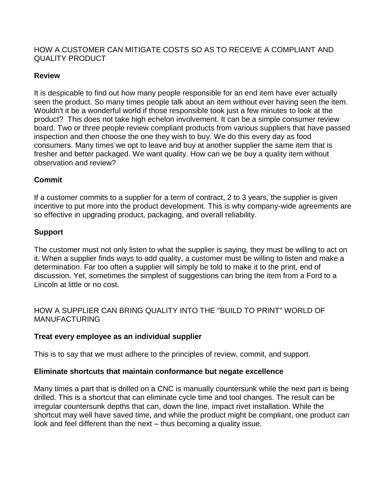## HOW A CUSTOMER CAN MITIGATE COSTS SO AS TO RECEIVE A COMPLIANT AND QUALITY PRODUCT

# **Review**

It is despicable to find out how many people responsible for an end item have ever actually seen the product. So many times people talk about an item without ever having seen the item. Wouldn't it be a wonderful world if those responsible took just a few minutes to look at the product? This does not take high echelon involvement. It can be a simple consumer review board. Two or three people review compliant products from various suppliers that have passed inspection and then choose the one they wish to buy. We do this every day as food consumers. Many times we opt to leave and buy at another supplier the same item that is fresher and better packaged. We want quality. How can we be buy a quality item without observation and review?

# **Commit**

If a customer commits to a supplier for a term of contract, 2 to 3 years, the supplier is given incentive to put more into the product development. This is why company-wide agreements are so effective in upgrading product, packaging, and overall reliability.

# **Support**

The customer must not only listen to what the supplier is saying, they must be willing to act on it. When a supplier finds ways to add quality, a customer must be willing to listen and make a determination. Far too often a supplier will simply be told to make it to the print, end of discussion. Yet, sometimes the simplest of suggestions can bring the item from a Ford to a Lincoln at little or no cost.

# HOW A SUPPLIER CAN BRING QUALITY INTO THE "BUILD TO PRINT" WORLD OF MANUFACTURING

#### **Treat every employee as an individual supplier**

This is to say that we must adhere to the principles of review, commit, and support.

#### **Eliminate shortcuts that maintain conformance but negate excellence**

Many times a part that is drilled on a CNC is manually countersunk while the next part is being drilled. This is a shortcut that can eliminate cycle time and tool changes. The result can be irregular countersunk depths that can, down the line, impact rivet installation. While the shortcut may well have saved time, and while the product might be compliant, one product can look and feel different than the next – thus becoming a quality issue.